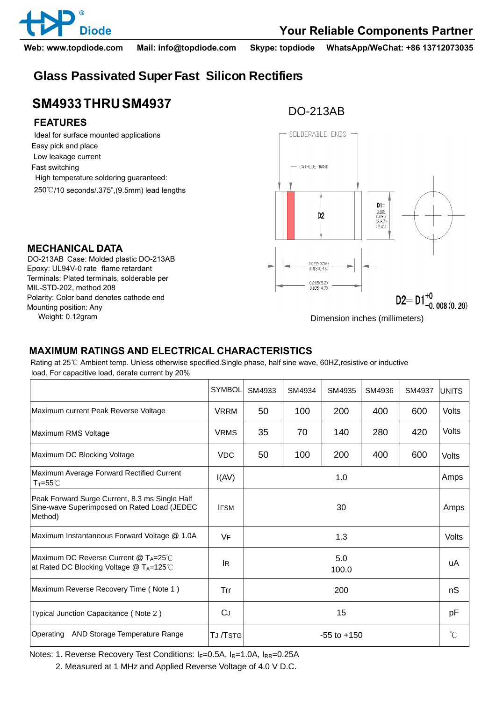

**Diode Your Reliable Components Partner**

**Web: www.topdiode.com Mail: info@topdiode.com Skype: topdiode WhatsApp/WeChat: +86 13712073035**

## **Glass Passivated Super Fast Silicon Rectifiers**

# **SM4933 THRU SM4937 DO-213AB**

#### **FEATURES**

**MECHANICAL DATA**

MIL-STD-202, method 208

Mounting position: Any

 Ideal for surface mounted applications Easy pick and place Low leakage current Fast switching High temperature soldering guaranteed: 250℃/10 seconds/.375",(9.5mm) lead lengths

DO-213AB Case: Molded plastic DO-213AB Epoxy: UL94V-0 rate flame retardant Terminals: Plated terminals, solderable per

Polarity: Color band denotes cathode end



Weight: 0.12gram Dimension inches (millimeters)

### **MAXIMUM RATINGS AND ELECTRICAL CHARACTERISTICS**

Rating at 25℃ Ambient temp. Unless otherwise specified.Single phase, half sine wave, 60HZ,resistive or inductive load. For capacitive load, derate current by 20%

|                                                                                                          | <b>SYMBOL</b> | SM4933          | SM4934 | SM4935 | SM4936 | SM4937 | <b>UNITS</b> |
|----------------------------------------------------------------------------------------------------------|---------------|-----------------|--------|--------|--------|--------|--------------|
| Maximum current Peak Reverse Voltage                                                                     | <b>VRRM</b>   | 50              | 100    | 200    | 400    | 600    | <b>Volts</b> |
| Maximum RMS Voltage                                                                                      | <b>VRMS</b>   | 35              | 70     | 140    | 280    | 420    | Volts        |
| Maximum DC Blocking Voltage                                                                              | <b>VDC</b>    | 50              | 100    | 200    | 400    | 600    | Volts        |
| Maximum Average Forward Rectified Current<br>$T_T = 55^{\circ}$                                          | I(AV)         | 1.0             |        |        |        |        | Amps         |
| Peak Forward Surge Current, 8.3 ms Single Half<br>Sine-wave Superimposed on Rated Load (JEDEC<br>Method) | <b>IFSM</b>   | 30              |        |        |        |        | Amps         |
| Maximum Instantaneous Forward Voltage @ 1.0A                                                             | VF            | 1.3             |        |        |        |        | Volts        |
| Maximum DC Reverse Current @ TA=25°C<br>at Rated DC Blocking Voltage @ TA=125°C                          | <b>IR</b>     | 5.0<br>100.0    |        |        |        |        | uA           |
| Maximum Reverse Recovery Time (Note 1)                                                                   | Trr           | 200             |        |        |        |        | nS           |
| Typical Junction Capacitance (Note 2)                                                                    | CJ            | 15              |        |        |        |        | pF           |
| Operating<br>AND Storage Temperature Range                                                               | TJ /TSTG      | $-55$ to $+150$ |        |        |        |        | $^{\circ}C$  |

Notes: 1. Reverse Recovery Test Conditions:  $I_F=0.5A$ ,  $I_R=1.0A$ ,  $I_{RR}=0.25A$ 

2. Measured at 1 MHz and Applied Reverse Voltage of 4.0 V D.C.